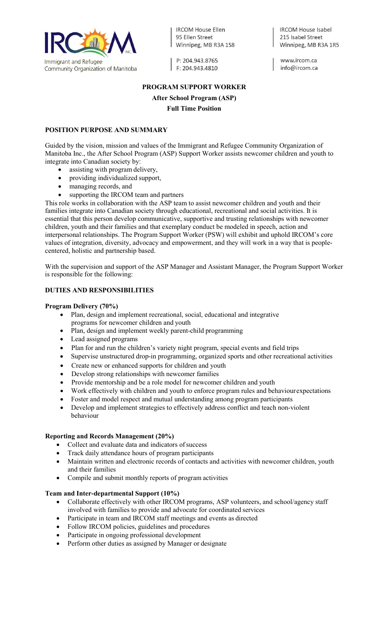

**IRCOM House Ellen** 95 Fllen Street Winnipeg, MB R3A 1S8

P: 204.943.8765 F: 204.943.4810

**IRCOM House Isabel** 215 Isabel Street Winnipeg, MB R3A 1R5

www.ircom.ca info@ircom.ca

# **PROGRAM SUPPORT WORKER After School Program (ASP)**

## **Full Time Position**

### **POSITION PURPOSE AND SUMMARY**

Guided by the vision, mission and values of the Immigrant and Refugee Community Organization of Manitoba Inc., the After School Program (ASP) Support Worker assists newcomer children and youth to integrate into Canadian society by:

- assisting with program delivery,
- providing individualized support,
- managing records, and
- supporting the IRCOM team and partners

This role works in collaboration with the ASP team to assist newcomer children and youth and their families integrate into Canadian society through educational, recreational and social activities. It is essential that this person develop communicative, supportive and trusting relationships with newcomer children, youth and their families and that exemplary conduct be modeled in speech, action and interpersonal relationships. The Program Support Worker (PSW) will exhibit and uphold IRCOM's core values of integration, diversity, advocacy and empowerment, and they will work in a way that is peoplecentered, holistic and partnership based.

With the supervision and support of the ASP Manager and Assistant Manager, the Program Support Worker is responsible for the following:

## **DUTIES AND RESPONSIBILITIES**

#### **Program Delivery (70%)**

- Plan, design and implement recreational, social, educational and integrative programs for newcomer children and youth
- Plan, design and implement weekly parent-child programming
- Lead assigned programs
- Plan for and run the children's variety night program, special events and field trips
- Supervise unstructured drop-in programming, organized sports and other recreational activities
- Create new or enhanced supports for children and youth
- Develop strong relationships with newcomer families
- Provide mentorship and be a role model for newcomer children and youth
- Work effectively with children and youth to enforce program rules and behaviourexpectations
- Foster and model respect and mutual understanding among program participants
- Develop and implement strategies to effectively address conflict and teach non-violent behaviour

#### **Reporting and Records Management (20%)**

- Collect and evaluate data and indicators of success
- Track daily attendance hours of program participants
- Maintain written and electronic records of contacts and activities with newcomer children, youth and their families
- Compile and submit monthly reports of program activities

#### **Team and Inter-departmental Support (10%)**

- Collaborate effectively with other IRCOM programs, ASP volunteers, and school/agency staff involved with families to provide and advocate for coordinated services
- Participate in team and IRCOM staff meetings and events as directed
- Follow IRCOM policies, guidelines and procedures
- Participate in ongoing professional development
- Perform other duties as assigned by Manager or designate